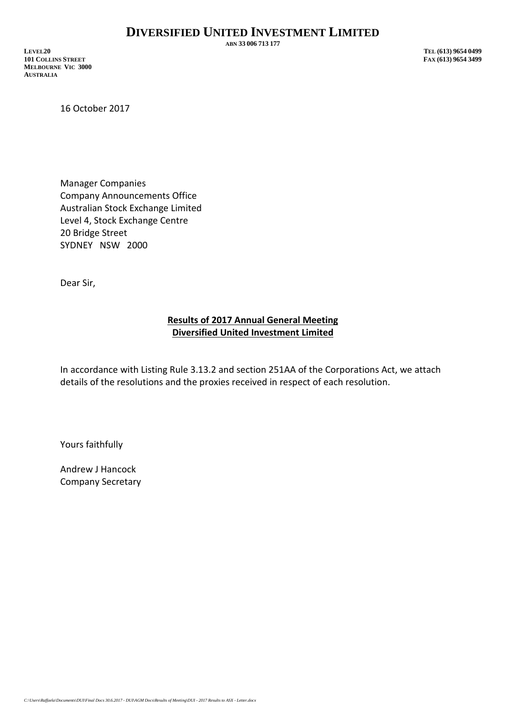**ABN 33 006 713 177**

**LEVEL20 TEL (613) 9654 0499 101 COLLINS STREET MELBOURNE VIC 3000 AUSTRALIA**

16 October 2017

Manager Companies Company Announcements Office Australian Stock Exchange Limited Level 4, Stock Exchange Centre 20 Bridge Street SYDNEY NSW 2000

Dear Sir,

## **Results of 2017 Annual General Meeting Diversified United Investment Limited**

In accordance with Listing Rule 3.13.2 and section 251AA of the Corporations Act, we attach details of the resolutions and the proxies received in respect of each resolution.

Yours faithfully

Andrew J Hancock Company Secretary